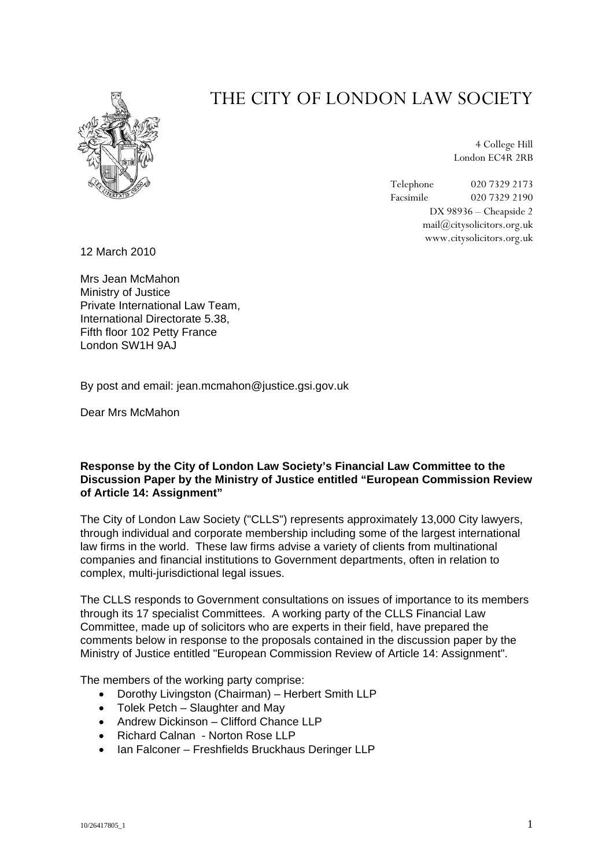

# THE CITY OF LONDON LAW SOCIETY

4 College Hill London EC4R 2RB

Telephone 020 7329 2173<br>Facsimile 020 7329 2190 Facsimile 020 7329 2190 DX 98936 – Cheapside 2 mail@citysolicitors.org.uk www.citysolicitors.org.uk

12 March 2010

Mrs Jean McMahon Ministry of Justice Private International Law Team, International Directorate 5.38, Fifth floor 102 Petty France London SW1H 9AJ

By post and email: jean.mcmahon@justice.gsi.gov.uk

Dear Mrs McMahon

## **Response by the City of London Law Society's Financial Law Committee to the Discussion Paper by the Ministry of Justice entitled "European Commission Review of Article 14: Assignment"**

The City of London Law Society ("CLLS") represents approximately 13,000 City lawyers, through individual and corporate membership including some of the largest international law firms in the world. These law firms advise a variety of clients from multinational companies and financial institutions to Government departments, often in relation to complex, multi-jurisdictional legal issues.

The CLLS responds to Government consultations on issues of importance to its members through its 17 specialist Committees. A working party of the CLLS Financial Law Committee, made up of solicitors who are experts in their field, have prepared the comments below in response to the proposals contained in the discussion paper by the Ministry of Justice entitled "European Commission Review of Article 14: Assignment".

The members of the working party comprise:

- Dorothy Livingston (Chairman) Herbert Smith LLP
- Tolek Petch Slaughter and May
- Andrew Dickinson Clifford Chance LLP
- Richard Calnan Norton Rose LLP
- Ian Falconer Freshfields Bruckhaus Deringer LLP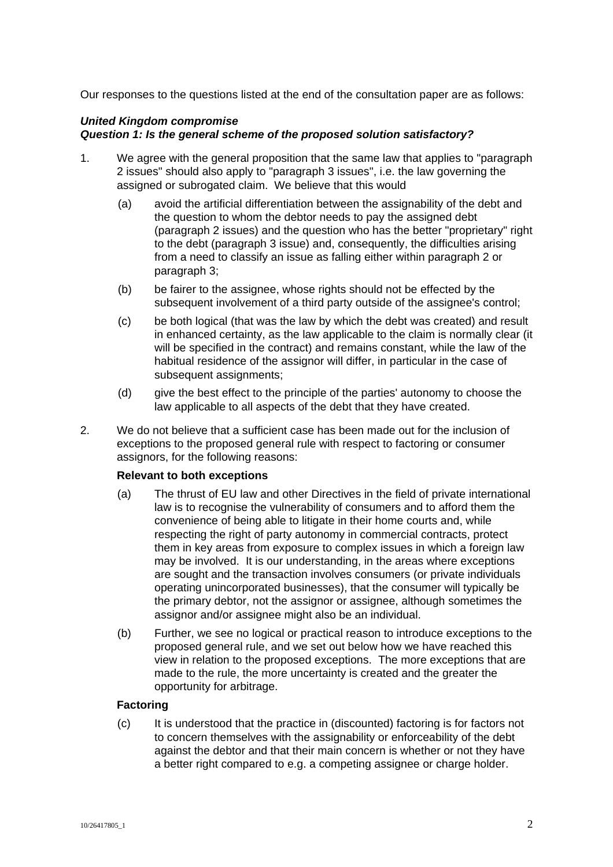Our responses to the questions listed at the end of the consultation paper are as follows:

## *United Kingdom compromise Question 1: Is the general scheme of the proposed solution satisfactory?*

- 1. We agree with the general proposition that the same law that applies to "paragraph 2 issues" should also apply to "paragraph 3 issues", i.e. the law governing the assigned or subrogated claim. We believe that this would
	- (a) avoid the artificial differentiation between the assignability of the debt and the question to whom the debtor needs to pay the assigned debt (paragraph 2 issues) and the question who has the better "proprietary" right to the debt (paragraph 3 issue) and, consequently, the difficulties arising from a need to classify an issue as falling either within paragraph 2 or paragraph 3;
	- (b) be fairer to the assignee, whose rights should not be effected by the subsequent involvement of a third party outside of the assignee's control;
	- (c) be both logical (that was the law by which the debt was created) and result in enhanced certainty, as the law applicable to the claim is normally clear (it will be specified in the contract) and remains constant, while the law of the habitual residence of the assignor will differ, in particular in the case of subsequent assignments;
	- (d) give the best effect to the principle of the parties' autonomy to choose the law applicable to all aspects of the debt that they have created.
- 2. We do not believe that a sufficient case has been made out for the inclusion of exceptions to the proposed general rule with respect to factoring or consumer assignors, for the following reasons:

## **Relevant to both exceptions**

- (a) The thrust of EU law and other Directives in the field of private international law is to recognise the vulnerability of consumers and to afford them the convenience of being able to litigate in their home courts and, while respecting the right of party autonomy in commercial contracts, protect them in key areas from exposure to complex issues in which a foreign law may be involved. It is our understanding, in the areas where exceptions are sought and the transaction involves consumers (or private individuals operating unincorporated businesses), that the consumer will typically be the primary debtor, not the assignor or assignee, although sometimes the assignor and/or assignee might also be an individual.
- (b) Further, we see no logical or practical reason to introduce exceptions to the proposed general rule, and we set out below how we have reached this view in relation to the proposed exceptions. The more exceptions that are made to the rule, the more uncertainty is created and the greater the opportunity for arbitrage.

## **Factoring**

(c) It is understood that the practice in (discounted) factoring is for factors not to concern themselves with the assignability or enforceability of the debt against the debtor and that their main concern is whether or not they have a better right compared to e.g. a competing assignee or charge holder.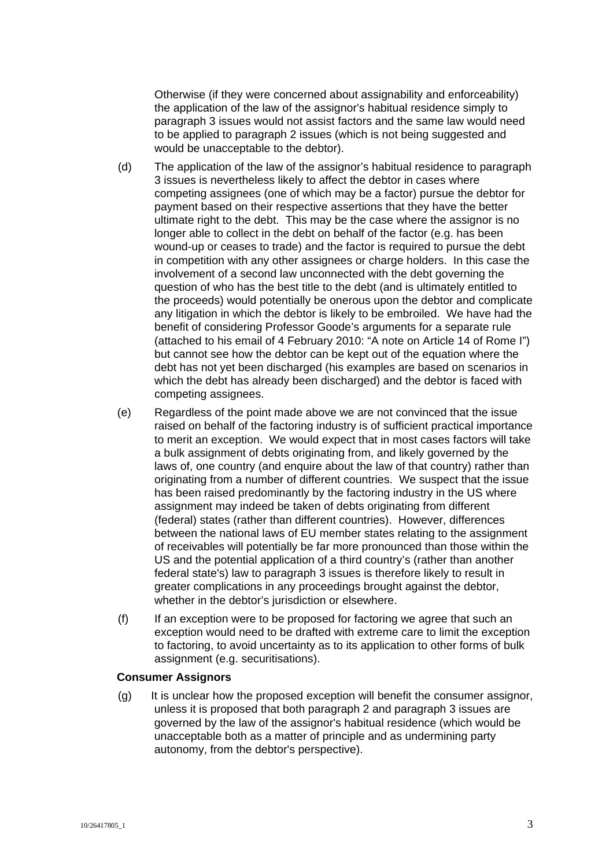Otherwise (if they were concerned about assignability and enforceability) the application of the law of the assignor's habitual residence simply to paragraph 3 issues would not assist factors and the same law would need to be applied to paragraph 2 issues (which is not being suggested and would be unacceptable to the debtor).

- (d) The application of the law of the assignor's habitual residence to paragraph 3 issues is nevertheless likely to affect the debtor in cases where competing assignees (one of which may be a factor) pursue the debtor for payment based on their respective assertions that they have the better ultimate right to the debt. This may be the case where the assignor is no longer able to collect in the debt on behalf of the factor (e.g. has been wound-up or ceases to trade) and the factor is required to pursue the debt in competition with any other assignees or charge holders. In this case the involvement of a second law unconnected with the debt governing the question of who has the best title to the debt (and is ultimately entitled to the proceeds) would potentially be onerous upon the debtor and complicate any litigation in which the debtor is likely to be embroiled. We have had the benefit of considering Professor Goode's arguments for a separate rule (attached to his email of 4 February 2010: "A note on Article 14 of Rome I") but cannot see how the debtor can be kept out of the equation where the debt has not yet been discharged (his examples are based on scenarios in which the debt has already been discharged) and the debtor is faced with competing assignees.
- (e) Regardless of the point made above we are not convinced that the issue raised on behalf of the factoring industry is of sufficient practical importance to merit an exception. We would expect that in most cases factors will take a bulk assignment of debts originating from, and likely governed by the laws of, one country (and enquire about the law of that country) rather than originating from a number of different countries. We suspect that the issue has been raised predominantly by the factoring industry in the US where assignment may indeed be taken of debts originating from different (federal) states (rather than different countries). However, differences between the national laws of EU member states relating to the assignment of receivables will potentially be far more pronounced than those within the US and the potential application of a third country's (rather than another federal state's) law to paragraph 3 issues is therefore likely to result in greater complications in any proceedings brought against the debtor, whether in the debtor's jurisdiction or elsewhere.
- (f) If an exception were to be proposed for factoring we agree that such an exception would need to be drafted with extreme care to limit the exception to factoring, to avoid uncertainty as to its application to other forms of bulk assignment (e.g. securitisations).

#### **Consumer Assignors**

(g) It is unclear how the proposed exception will benefit the consumer assignor, unless it is proposed that both paragraph 2 and paragraph 3 issues are governed by the law of the assignor's habitual residence (which would be unacceptable both as a matter of principle and as undermining party autonomy, from the debtor's perspective).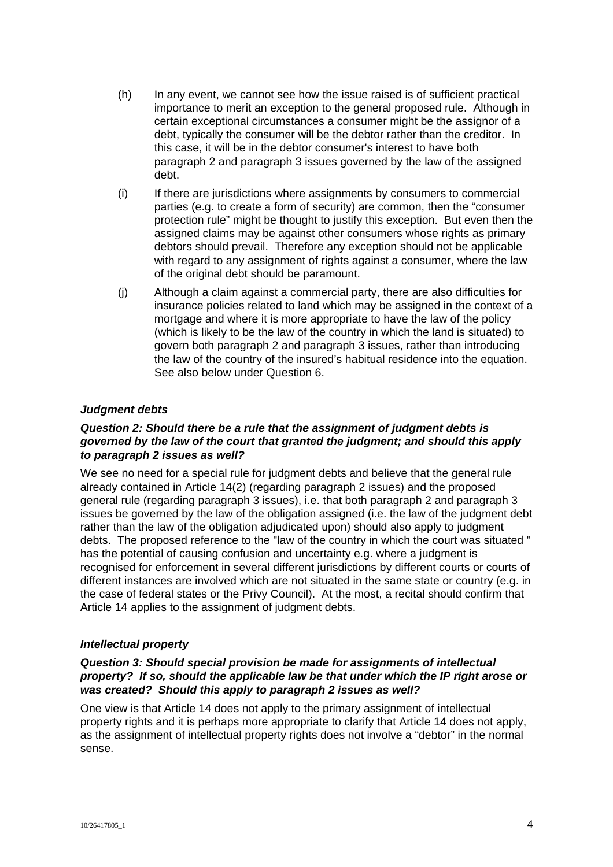- (h) In any event, we cannot see how the issue raised is of sufficient practical importance to merit an exception to the general proposed rule. Although in certain exceptional circumstances a consumer might be the assignor of a debt, typically the consumer will be the debtor rather than the creditor. In this case, it will be in the debtor consumer's interest to have both paragraph 2 and paragraph 3 issues governed by the law of the assigned debt.
- (i) If there are jurisdictions where assignments by consumers to commercial parties (e.g. to create a form of security) are common, then the "consumer protection rule" might be thought to justify this exception. But even then the assigned claims may be against other consumers whose rights as primary debtors should prevail. Therefore any exception should not be applicable with regard to any assignment of rights against a consumer, where the law of the original debt should be paramount.
- (j) Although a claim against a commercial party, there are also difficulties for insurance policies related to land which may be assigned in the context of a mortgage and where it is more appropriate to have the law of the policy (which is likely to be the law of the country in which the land is situated) to govern both paragraph 2 and paragraph 3 issues, rather than introducing the law of the country of the insured's habitual residence into the equation. See also below under Question 6.

## *Judgment debts*

#### *Question 2: Should there be a rule that the assignment of judgment debts is governed by the law of the court that granted the judgment; and should this apply to paragraph 2 issues as well?*

We see no need for a special rule for judgment debts and believe that the general rule already contained in Article 14(2) (regarding paragraph 2 issues) and the proposed general rule (regarding paragraph 3 issues), i.e. that both paragraph 2 and paragraph 3 issues be governed by the law of the obligation assigned (i.e. the law of the judgment debt rather than the law of the obligation adjudicated upon) should also apply to judgment debts. The proposed reference to the "law of the country in which the court was situated " has the potential of causing confusion and uncertainty e.g. where a judgment is recognised for enforcement in several different jurisdictions by different courts or courts of different instances are involved which are not situated in the same state or country (e.g. in the case of federal states or the Privy Council). At the most, a recital should confirm that Article 14 applies to the assignment of judgment debts.

## *Intellectual property*

## *Question 3: Should special provision be made for assignments of intellectual property? If so, should the applicable law be that under which the IP right arose or was created? Should this apply to paragraph 2 issues as well?*

One view is that Article 14 does not apply to the primary assignment of intellectual property rights and it is perhaps more appropriate to clarify that Article 14 does not apply, as the assignment of intellectual property rights does not involve a "debtor" in the normal sense.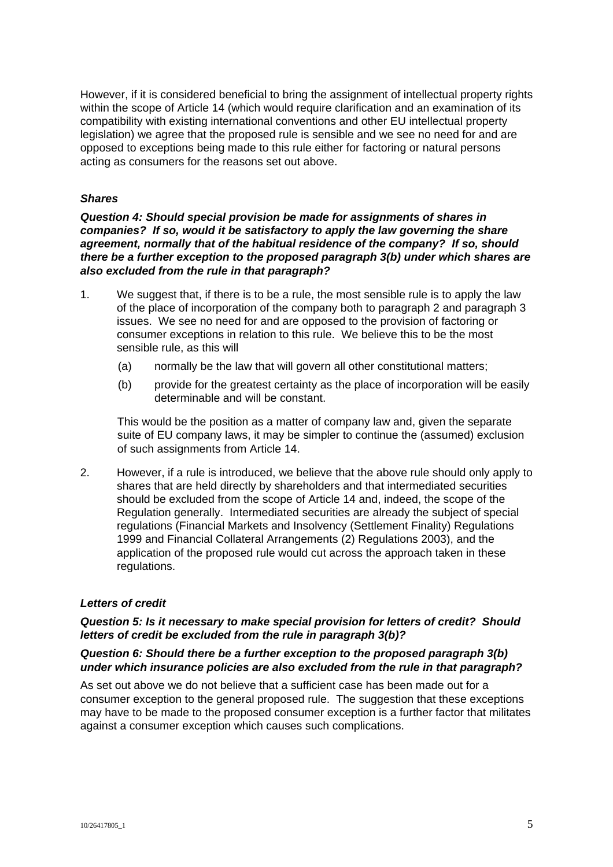However, if it is considered beneficial to bring the assignment of intellectual property rights within the scope of Article 14 (which would require clarification and an examination of its compatibility with existing international conventions and other EU intellectual property legislation) we agree that the proposed rule is sensible and we see no need for and are opposed to exceptions being made to this rule either for factoring or natural persons acting as consumers for the reasons set out above.

#### *Shares*

*Question 4: Should special provision be made for assignments of shares in companies? If so, would it be satisfactory to apply the law governing the share agreement, normally that of the habitual residence of the company? If so, should there be a further exception to the proposed paragraph 3(b) under which shares are also excluded from the rule in that paragraph?* 

- 1. We suggest that, if there is to be a rule, the most sensible rule is to apply the law of the place of incorporation of the company both to paragraph 2 and paragraph 3 issues. We see no need for and are opposed to the provision of factoring or consumer exceptions in relation to this rule. We believe this to be the most sensible rule, as this will
	- (a) normally be the law that will govern all other constitutional matters;
	- (b) provide for the greatest certainty as the place of incorporation will be easily determinable and will be constant.

This would be the position as a matter of company law and, given the separate suite of EU company laws, it may be simpler to continue the (assumed) exclusion of such assignments from Article 14.

2. However, if a rule is introduced, we believe that the above rule should only apply to shares that are held directly by shareholders and that intermediated securities should be excluded from the scope of Article 14 and, indeed, the scope of the Regulation generally. Intermediated securities are already the subject of special regulations (Financial Markets and Insolvency (Settlement Finality) Regulations 1999 and Financial Collateral Arrangements (2) Regulations 2003), and the application of the proposed rule would cut across the approach taken in these regulations.

## *Letters of credit*

## *Question 5: Is it necessary to make special provision for letters of credit? Should letters of credit be excluded from the rule in paragraph 3(b)?*

#### *Question 6: Should there be a further exception to the proposed paragraph 3(b) under which insurance policies are also excluded from the rule in that paragraph?*

As set out above we do not believe that a sufficient case has been made out for a consumer exception to the general proposed rule. The suggestion that these exceptions may have to be made to the proposed consumer exception is a further factor that militates against a consumer exception which causes such complications.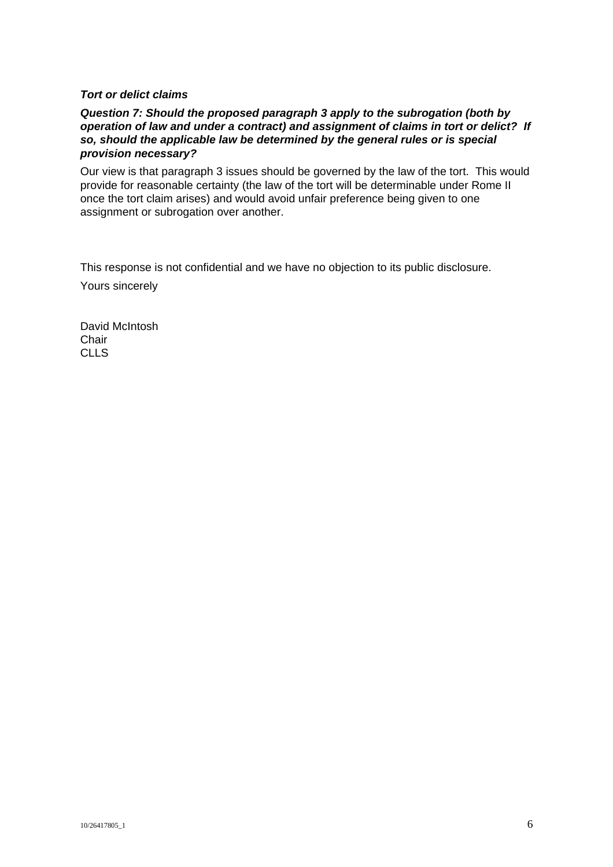#### *Tort or delict claims*

#### *Question 7: Should the proposed paragraph 3 apply to the subrogation (both by operation of law and under a contract) and assignment of claims in tort or delict? If so, should the applicable law be determined by the general rules or is special provision necessary?*

Our view is that paragraph 3 issues should be governed by the law of the tort. This would provide for reasonable certainty (the law of the tort will be determinable under Rome II once the tort claim arises) and would avoid unfair preference being given to one assignment or subrogation over another.

This response is not confidential and we have no objection to its public disclosure.

Yours sincerely

David McIntosh Chair CLLS